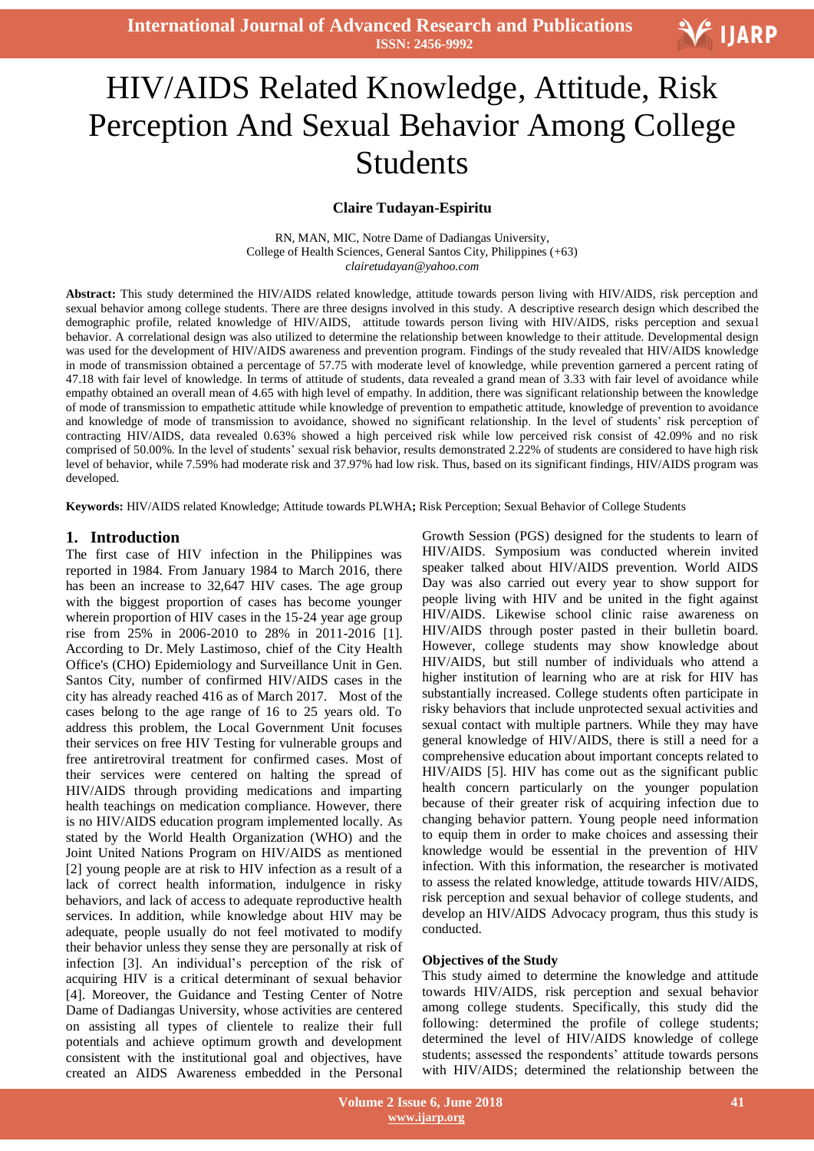

# Ī. HIV/AIDS Related Knowledge, Attitude, Risk Perception And Sexual Behavior Among College Students

## **Claire Tudayan-Espiritu**

RN, MAN, MIC, Notre Dame of Dadiangas University, College of Health Sciences, General Santos City, Philippines (+63) *clairetudayan@yahoo.com*

**Abstract:** This study determined the HIV/AIDS related knowledge, attitude towards person living with HIV/AIDS, risk perception and sexual behavior among college students. There are three designs involved in this study. A descriptive research design which described the demographic profile, related knowledge of HIV/AIDS, attitude towards person living with HIV/AIDS, risks perception and sexual behavior. A correlational design was also utilized to determine the relationship between knowledge to their attitude. Developmental design was used for the development of HIV/AIDS awareness and prevention program. Findings of the study revealed that HIV/AIDS knowledge in mode of transmission obtained a percentage of 57.75 with moderate level of knowledge, while prevention garnered a percent rating of 47.18 with fair level of knowledge. In terms of attitude of students, data revealed a grand mean of 3.33 with fair level of avoidance while empathy obtained an overall mean of 4.65 with high level of empathy. In addition, there was significant relationship between the knowledge of mode of transmission to empathetic attitude while knowledge of prevention to empathetic attitude, knowledge of prevention to avoidance and knowledge of mode of transmission to avoidance, showed no significant relationship. In the level of students' risk perception of contracting HIV/AIDS, data revealed 0.63% showed a high perceived risk while low perceived risk consist of 42.09% and no risk comprised of 50.00%. In the level of students' sexual risk behavior, results demonstrated 2.22% of students are considered to have high risk level of behavior, while 7.59% had moderate risk and 37.97% had low risk. Thus, based on its significant findings, HIV/AIDS program was developed.

**Keywords:** HIV/AIDS related Knowledge; Attitude towards PLWHA**;** Risk Perception; Sexual Behavior of College Students

## **1. Introduction**

The first case of HIV infection in the Philippines was reported in 1984. From January 1984 to March 2016, there has been an increase to 32,647 HIV cases. The age group with the biggest proportion of cases has become younger wherein proportion of HIV cases in the 15-24 year age group rise from 25% in 2006-2010 to 28% in 2011-2016 [1]. According to Dr. Mely Lastimoso, chief of the City Health Office's (CHO) Epidemiology and Surveillance Unit in Gen. Santos City, number of confirmed HIV/AIDS cases in the city has already reached 416 as of March 2017. Most of the cases belong to the age range of 16 to 25 years old. To address this problem, the Local Government Unit focuses their services on free HIV Testing for vulnerable groups and free antiretroviral treatment for confirmed cases. Most of their services were centered on halting the spread of HIV/AIDS through providing medications and imparting health teachings on medication compliance. However, there is no HIV/AIDS education program implemented locally. As stated by the World Health Organization (WHO) and the Joint United Nations Program on HIV/AIDS as mentioned [2] young people are at risk to HIV infection as a result of a lack of correct health information, indulgence in risky behaviors, and lack of access to adequate reproductive health services. In addition, while knowledge about HIV may be adequate, people usually do not feel motivated to modify their behavior unless they sense they are personally at risk of infection [3]. An individual's perception of the risk of acquiring HIV is a critical determinant of sexual behavior [4]. Moreover, the Guidance and Testing Center of Notre Dame of Dadiangas University, whose activities are centered on assisting all types of clientele to realize their full potentials and achieve optimum growth and development consistent with the institutional goal and objectives, have created an AIDS Awareness embedded in the Personal

Growth Session (PGS) designed for the students to learn of HIV/AIDS. Symposium was conducted wherein invited speaker talked about HIV/AIDS prevention. World AIDS Day was also carried out every year to show support for people living with HIV and be united in the fight against HIV/AIDS. Likewise school clinic raise awareness on HIV/AIDS through poster pasted in their bulletin board. However, college students may show knowledge about HIV/AIDS, but still number of individuals who attend a higher institution of learning who are at risk for HIV has substantially increased. College students often participate in risky behaviors that include unprotected sexual activities and sexual contact with multiple partners. While they may have general knowledge of HIV/AIDS, there is still a need for a comprehensive education about important concepts related to HIV/AIDS [5]. HIV has come out as the significant public health concern particularly on the younger population because of their greater risk of acquiring infection due to changing behavior pattern. Young people need information to equip them in order to make choices and assessing their knowledge would be essential in the prevention of HIV infection. With this information, the researcher is motivated to assess the related knowledge, attitude towards HIV/AIDS, risk perception and sexual behavior of college students, and develop an HIV/AIDS Advocacy program, thus this study is conducted.

#### **Objectives of the Study**

This study aimed to determine the knowledge and attitude towards HIV/AIDS, risk perception and sexual behavior among college students. Specifically, this study did the following: determined the profile of college students; determined the level of HIV/AIDS knowledge of college students; assessed the respondents' attitude towards persons with HIV/AIDS; determined the relationship between the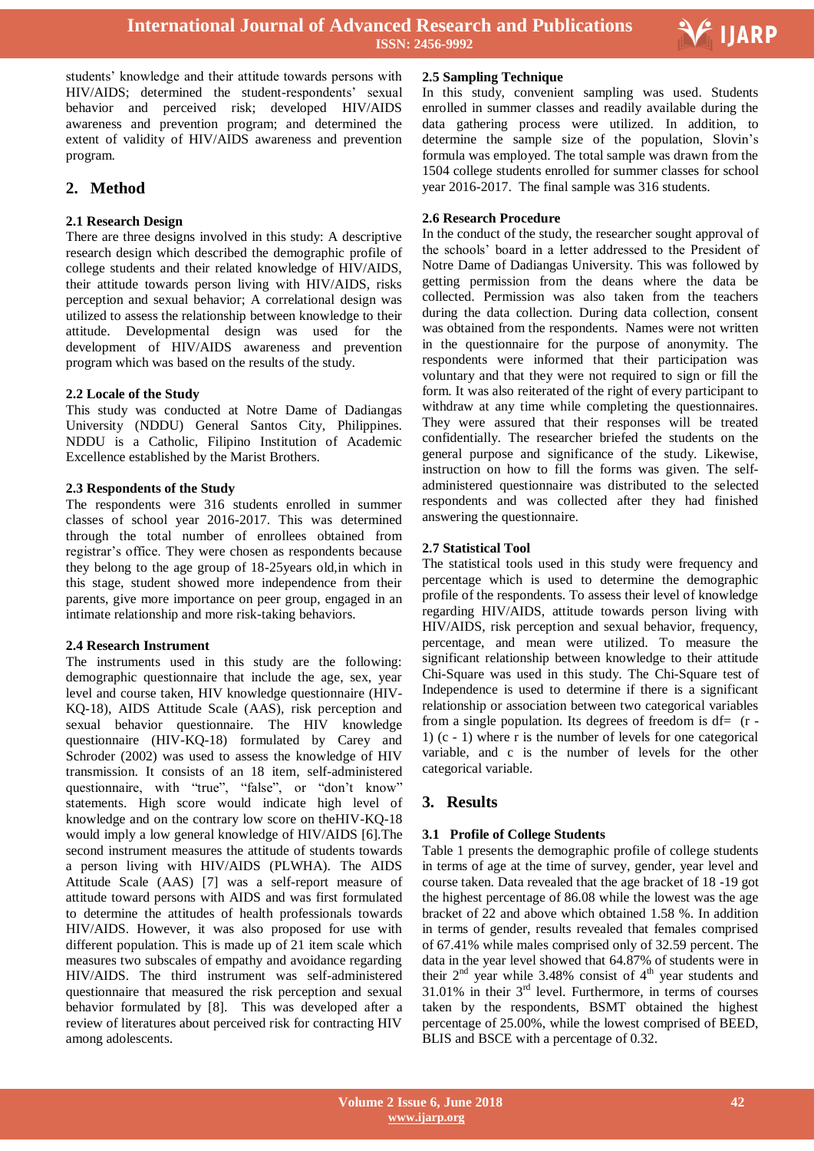

Ξ

students' knowledge and their attitude towards persons with HIV/AIDS; determined the student-respondents' sexual behavior and perceived risk; developed HIV/AIDS awareness and prevention program; and determined the extent of validity of HIV/AIDS awareness and prevention program.

## **2. Method**

## **2.1 Research Design**

There are three designs involved in this study: A descriptive research design which described the demographic profile of college students and their related knowledge of HIV/AIDS, their attitude towards person living with HIV/AIDS, risks perception and sexual behavior; A correlational design was utilized to assess the relationship between knowledge to their attitude. Developmental design was used for the development of HIV/AIDS awareness and prevention program which was based on the results of the study.

#### **2.2 Locale of the Study**

This study was conducted at Notre Dame of Dadiangas University (NDDU) General Santos City, Philippines. NDDU is a Catholic, Filipino Institution of Academic Excellence established by the Marist Brothers.

#### **2.3 Respondents of the Study**

The respondents were 316 students enrolled in summer classes of school year 2016-2017. This was determined through the total number of enrollees obtained from registrar's office. They were chosen as respondents because they belong to the age group of 18-25years old,in which in this stage, student showed more independence from their parents, give more importance on peer group, engaged in an intimate relationship and more risk-taking behaviors.

## **2.4 Research Instrument**

The instruments used in this study are the following: demographic questionnaire that include the age, sex, year level and course taken, HIV knowledge questionnaire (HIV-KQ-18), AIDS Attitude Scale (AAS), risk perception and sexual behavior questionnaire. The HIV knowledge questionnaire (HIV-KQ-18) formulated by Carey and Schroder (2002) was used to assess the knowledge of HIV transmission. It consists of an 18 item, self-administered questionnaire, with "true", "false", or "don't know" statements. High score would indicate high level of knowledge and on the contrary low score on theHIV-KQ-18 would imply a low general knowledge of HIV/AIDS [6].The second instrument measures the attitude of students towards a person living with HIV/AIDS (PLWHA). The AIDS Attitude Scale (AAS) [7] was a self-report measure of attitude toward persons with AIDS and was first formulated to determine the attitudes of health professionals towards HIV/AIDS. However, it was also proposed for use with different population. This is made up of 21 item scale which measures two subscales of empathy and avoidance regarding HIV/AIDS. The third instrument was self-administered questionnaire that measured the risk perception and sexual behavior formulated by [8]. This was developed after a review of literatures about perceived risk for contracting HIV among adolescents.

## **2.5 Sampling Technique**

In this study, convenient sampling was used. Students enrolled in summer classes and readily available during the data gathering process were utilized. In addition, to determine the sample size of the population, Slovin's formula was employed. The total sample was drawn from the 1504 college students enrolled for summer classes for school year 2016-2017. The final sample was 316 students.

## **2.6 Research Procedure**

In the conduct of the study, the researcher sought approval of the schools' board in a letter addressed to the President of Notre Dame of Dadiangas University. This was followed by getting permission from the deans where the data be collected. Permission was also taken from the teachers during the data collection. During data collection, consent was obtained from the respondents. Names were not written in the questionnaire for the purpose of anonymity. The respondents were informed that their participation was voluntary and that they were not required to sign or fill the form. It was also reiterated of the right of every participant to withdraw at any time while completing the questionnaires. They were assured that their responses will be treated confidentially. The researcher briefed the students on the general purpose and significance of the study. Likewise, instruction on how to fill the forms was given. The selfadministered questionnaire was distributed to the selected respondents and was collected after they had finished answering the questionnaire.

#### **2.7 Statistical Tool**

The statistical tools used in this study were frequency and percentage which is used to determine the demographic profile of the respondents. To assess their level of knowledge regarding HIV/AIDS, attitude towards person living with HIV/AIDS, risk perception and sexual behavior, frequency, percentage, and mean were utilized. To measure the significant relationship between knowledge to their attitude Chi-Square was used in this study. The [Chi-Square test of](http://www.statisticssolutions.com/data-analysis-plan-chi-square-test-of-independence/) [Independence](http://www.statisticssolutions.com/data-analysis-plan-chi-square-test-of-independence/) is used to determine if there is a significant relationship or association between two categorical variables from a single population. Its [degrees of freedom](http://stattrek.com/Help/Glossary.aspx?Target=Degrees%20of%20freedom) is  $df = (r -$ 1) (c - 1) where r is the number of levels for one categorical variable, and c is the number of levels for the other categorical variable.

## **3. Results**

## **3.1 Profile of College Students**

Table 1 presents the demographic profile of college students in terms of age at the time of survey, gender, year level and course taken. Data revealed that the age bracket of 18 -19 got the highest percentage of 86.08 while the lowest was the age bracket of 22 and above which obtained 1.58 %. In addition in terms of gender, results revealed that females comprised of 67.41% while males comprised only of 32.59 percent. The data in the year level showed that 64.87% of students were in their  $2<sup>nd</sup>$  year while 3.48% consist of  $4<sup>th</sup>$  year students and  $31.01\%$  in their  $3<sup>rd</sup>$  level. Furthermore, in terms of courses taken by the respondents, BSMT obtained the highest percentage of 25.00%, while the lowest comprised of BEED, BLIS and BSCE with a percentage of 0.32.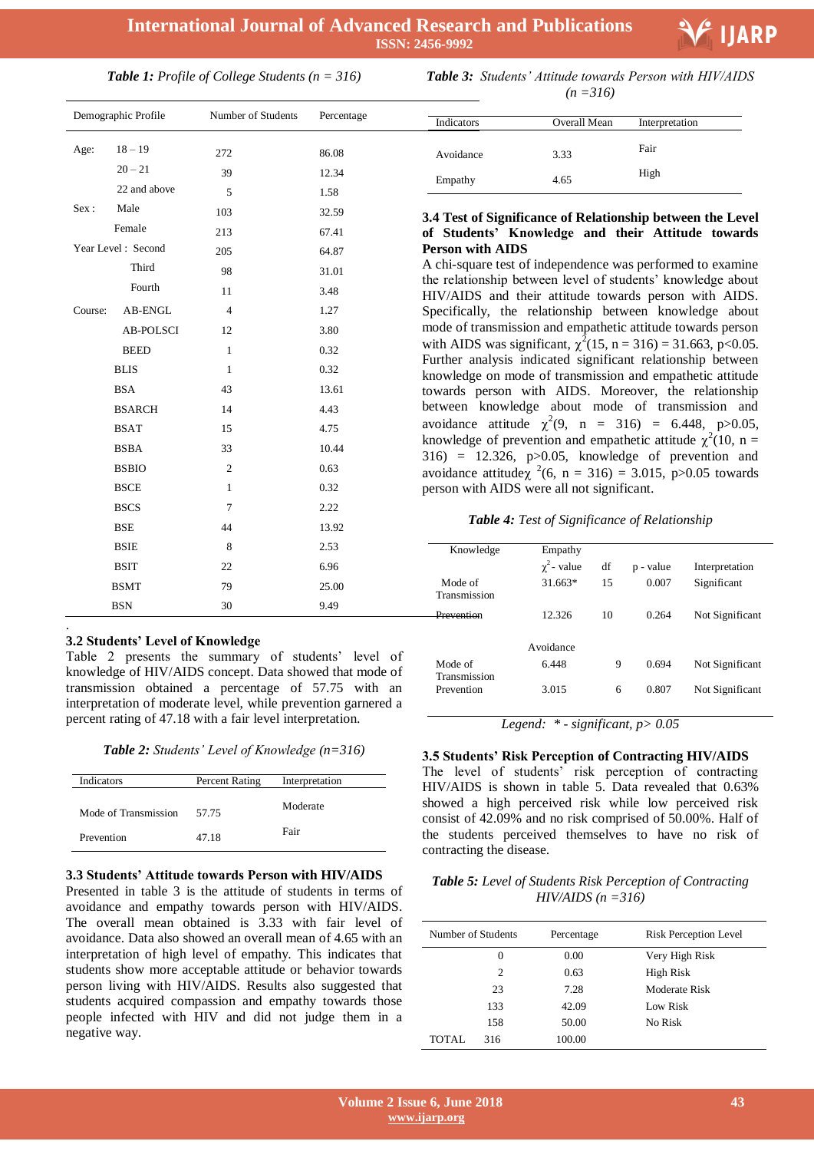

## *Table 1: Profile of College Students (n = 316)*

| Demographic Profile |                    | Number of Students | Percentage |
|---------------------|--------------------|--------------------|------------|
| Age:                | $18 - 19$          | 272                | 86.08      |
|                     | $20 - 21$          | 39                 | 12.34      |
|                     | 22 and above       | 5                  | 1.58       |
| Sex:                | Male               | 103                | 32.59      |
|                     | Female             | 213                | 67.41      |
|                     | Year Level: Second | 205                | 64.87      |
|                     | Third              | 98                 | 31.01      |
|                     | Fourth             | 11                 | 3.48       |
| Course:             | AB-ENGL            | $\overline{4}$     | 1.27       |
|                     | <b>AB-POLSCI</b>   | 12                 | 3.80       |
|                     | <b>BEED</b>        | $\mathbf{1}$       | 0.32       |
|                     | <b>BLIS</b>        | $\mathbf{1}$       | 0.32       |
|                     | <b>BSA</b>         | 43                 | 13.61      |
|                     | <b>BSARCH</b>      | 14                 | 4.43       |
|                     | <b>BSAT</b>        | 15                 | 4.75       |
|                     | <b>BSBA</b>        | 33                 | 10.44      |
|                     | <b>BSBIO</b>       | $\overline{2}$     | 0.63       |
|                     | <b>BSCE</b>        | $\mathbf{1}$       | 0.32       |
|                     | <b>BSCS</b>        | 7                  | 2.22       |
|                     | <b>BSE</b>         | 44                 | 13.92      |
|                     | <b>BSIE</b>        | 8                  | 2.53       |
|                     | <b>BSIT</b>        | 22                 | 6.96       |
|                     | <b>BSMT</b>        | 79                 | 25.00      |
|                     | <b>BSN</b>         | 30                 | 9.49       |
|                     |                    |                    |            |

#### **3.2 Students' Level of Knowledge**

Table 2 presents the summary of students' level of knowledge of HIV/AIDS concept. Data showed that mode of transmission obtained a percentage of 57.75 with an interpretation of moderate level, while prevention garnered a percent rating of 47.18 with a fair level interpretation.

*Table 2: Students' Level of Knowledge (n=316)*

| Indicators           | Percent Rating | Interpretation |
|----------------------|----------------|----------------|
| Mode of Transmission | 57.75          | Moderate       |
| Prevention           | 47.18          | Fair           |

#### **3.3 Students' Attitude towards Person with HIV/AIDS**

Presented in table 3 is the attitude of students in terms of avoidance and empathy towards person with HIV/AIDS. The overall mean obtained is 3.33 with fair level of avoidance. Data also showed an overall mean of 4.65 with an interpretation of high level of empathy. This indicates that students show more acceptable attitude or behavior towards person living with HIV/AIDS. Results also suggested that students acquired compassion and empathy towards those people infected with HIV and did not judge them in a negative way.

| <b>Table 3:</b> Students' Attitude towards Person with HIV/AIDS |
|-----------------------------------------------------------------|
| $(n=316)$                                                       |

| Indicators | Overall Mean | Interpretation |  |
|------------|--------------|----------------|--|
| Avoidance  | 3.33         | Fair           |  |
| Empathy    | 4.65         | High           |  |

## **3.4 Test of Significance of Relationship between the Level of Students' Knowledge and their Attitude towards Person with AIDS**

A chi-square test of independence was performed to examine the relationship between level of students' knowledge about HIV/AIDS and their attitude towards person with AIDS. Specifically, the relationship between knowledge about mode of transmission and empathetic attitude towards person with AIDS was significant,  $\chi^2(15, n = 316) = 31.663$ , p<0.05. Further analysis indicated significant relationship between knowledge on mode of transmission and empathetic attitude towards person with AIDS. Moreover, the relationship between knowledge about mode of transmission and avoidance attitude  $\chi^2(9, n = 316) = 6.448, p > 0.05,$ knowledge of prevention and empathetic attitude  $\chi^2(10, n =$ 316) = 12.326, p>0.05, knowledge of prevention and avoidance attitude $\chi^2(6, n = 316) = 3.015$ , p $>0.05$  towards person with AIDS were all not significant.

#### *Table 4: Test of Significance of Relationship*

| Knowledge                  | Empathy          |    |           |                 |
|----------------------------|------------------|----|-----------|-----------------|
|                            | $\chi^2$ - value | df | p - value | Interpretation  |
| Mode of<br>Transmission    | $31.663*$        | 15 | 0.007     | Significant     |
| Dravention                 | 12.326           | 10 | 0.264     | Not Significant |
|                            | Avoidance        |    |           |                 |
| Mode of                    | 6.448            | 9  | 0.694     | Not Significant |
| Transmission<br>Prevention | 3.015            | 6  | 0.807     | Not Significant |

*Legend: \* - significant, p> 0.05*

#### **3.5 Students' Risk Perception of Contracting HIV/AIDS**

The level of students' risk perception of contracting HIV/AIDS is shown in table 5. Data revealed that 0.63% showed a high perceived risk while low perceived risk consist of 42.09% and no risk comprised of 50.00%. Half of the students perceived themselves to have no risk of contracting the disease.

## *Table 5: Level of Students Risk Perception of Contracting HIV/AIDS (n =316)*

| Number of Students |                | Percentage | <b>Risk Perception Level</b> |
|--------------------|----------------|------------|------------------------------|
|                    | 0              | 0.00       | Very High Risk               |
|                    | $\overline{c}$ | 0.63       | High Risk                    |
|                    | 23             | 7.28       | Moderate Risk                |
|                    | 133            | 42.09      | Low Risk                     |
|                    | 158            | 50.00      | No Risk                      |
| TOTAL              | 316            | 100.00     |                              |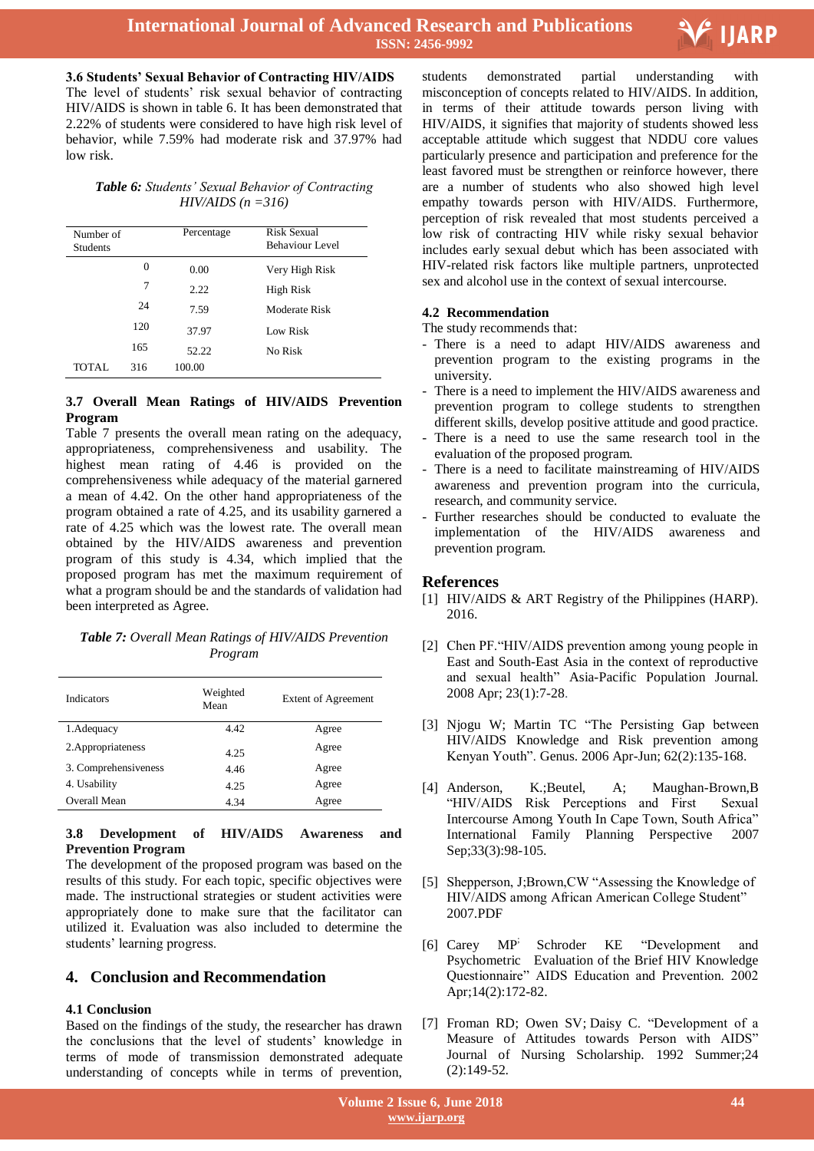

**3.6 Students' Sexual Behavior of Contracting HIV/AIDS** The level of students' risk sexual behavior of contracting HIV/AIDS is shown in table 6. It has been demonstrated that 2.22% of students were considered to have high risk level of behavior, while 7.59% had moderate risk and 37.97% had low risk.

## *Table 6: Students' Sexual Behavior of Contracting HIV/AIDS (n =316)*

| Number of<br><b>Students</b> |          | Percentage | Risk Sexual<br>Behaviour Level |
|------------------------------|----------|------------|--------------------------------|
|                              | $\Omega$ | 0.00       | Very High Risk                 |
|                              | 7        | 2.22       | High Risk                      |
|                              | 24       | 7.59       | Moderate Risk                  |
|                              | 120      | 37.97      | Low Risk                       |
|                              | 165      | 52.22      | No Risk                        |
| TOTAL.                       | 316      | 100.00     |                                |

## **3.7 Overall Mean Ratings of HIV/AIDS Prevention Program**

Table 7 presents the overall mean rating on the adequacy, appropriateness, comprehensiveness and usability. The highest mean rating of 4.46 is provided on the comprehensiveness while adequacy of the material garnered a mean of 4.42. On the other hand appropriateness of the program obtained a rate of 4.25, and its usability garnered a rate of 4.25 which was the lowest rate. The overall mean obtained by the HIV/AIDS awareness and prevention program of this study is 4.34, which implied that the proposed program has met the maximum requirement of what a program should be and the standards of validation had been interpreted as Agree.

*Table 7: Overall Mean Ratings of HIV/AIDS Prevention Program*

| Indicators           | Weighted<br>Mean | Extent of Agreement |
|----------------------|------------------|---------------------|
| 1. Adequacy          | 4.42             | Agree               |
| 2. Appropriateness   | 4.25             | Agree               |
| 3. Comprehensiveness | 4.46             | Agree               |
| 4. Usability         | 4.25             | Agree               |
| Overall Mean         | 4.34             | Agree               |

## **3.8 Development of HIV/AIDS Awareness and Prevention Program**

The development of the proposed program was based on the results of this study. For each topic, specific objectives were made. The instructional strategies or student activities were appropriately done to make sure that the facilitator can utilized it. Evaluation was also included to determine the students' learning progress.

## **4. Conclusion and Recommendation**

## **4.1 Conclusion**

Based on the findings of the study, the researcher has drawn the conclusions that the level of students' knowledge in terms of mode of transmission demonstrated adequate understanding of concepts while in terms of prevention,

 students demonstrated partial understanding with misconception of concepts related to HIV/AIDS. In addition, in terms of their attitude towards person living with HIV/AIDS, it signifies that majority of students showed less acceptable attitude which suggest that NDDU core values particularly presence and participation and preference for the least favored must be strengthen or reinforce however, there are a number of students who also showed high level empathy towards person with HIV/AIDS. Furthermore, perception of risk revealed that most students perceived a low risk of contracting HIV while risky sexual behavior includes early sexual debut which has been associated with HIV-related risk factors like multiple partners, unprotected sex and alcohol use in the context of sexual intercourse.

## **4.2 Recommendation**

- The study recommends that:
- There is a need to adapt HIV/AIDS awareness and prevention program to the existing programs in the university.
- There is a need to implement the HIV/AIDS awareness and prevention program to college students to strengthen different skills, develop positive attitude and good practice.
- There is a need to use the same research tool in the evaluation of the proposed program.
- There is a need to facilitate mainstreaming of HIV/AIDS awareness and prevention program into the curricula, research, and community service.
- Further researches should be conducted to evaluate the implementation of the HIV/AIDS awareness and prevention program.

## **References**

- [1] HIV/AIDS & ART Registry of the Philippines (HARP). 2016.
- [2] Chen PF."HIV/AIDS prevention among young people in East and South-East Asia in the context of reproductive and sexual health" Asia-Pacific Population Journal. 2008 Apr; 23(1):7-28.
- [3] Njogu W; Martin TC "The Persisting Gap between HIV/AIDS Knowledge and Risk prevention among Kenyan Youth". Genus. 2006 Apr-Jun; 62(2):135-168.
- [4] Anderson, K.;Beutel, A; Maughan-Brown,B "HIV/AIDS Risk Perceptions and First Sexual Intercourse Among Youth In Cape Town, South Africa" International Family Planning Perspective 2007 Sep;33(3):98-105.
- [5] Shepperson, J;Brown,CW "Assessing the Knowledge of HIV/AIDS among African American College Student" 2007.PDF
- [6] [Carey MP](https://www.ncbi.nlm.nih.gov/pubmed/?term=Carey%20MP%5BAuthor%5D&cauthor=true&cauthor_uid=12000234); [Schroder KE](https://www.ncbi.nlm.nih.gov/pubmed/?term=Schroder%20KE%5BAuthor%5D&cauthor=true&cauthor_uid=12000234) "Development and Psychometric Evaluation of the Brief HIV Knowledge Questionnaire" AIDS Education and Prevention. 2002 Apr;14(2):172-82.
- [7] [Froman RD;](https://www.ncbi.nlm.nih.gov/pubmed/?term=Froman%20RD%5BAuthor%5D&cauthor=true&cauthor_uid=1601457) [Owen SV;](https://www.ncbi.nlm.nih.gov/pubmed/?term=Owen%20SV%5BAuthor%5D&cauthor=true&cauthor_uid=1601457) [Daisy C.](https://www.ncbi.nlm.nih.gov/pubmed/?term=Daisy%20C%5BAuthor%5D&cauthor=true&cauthor_uid=1601457) "Development of a Measure of Attitudes towards Person with AIDS" Journal of Nursing Scholarship. 1992 Summer;24 (2):149-52.